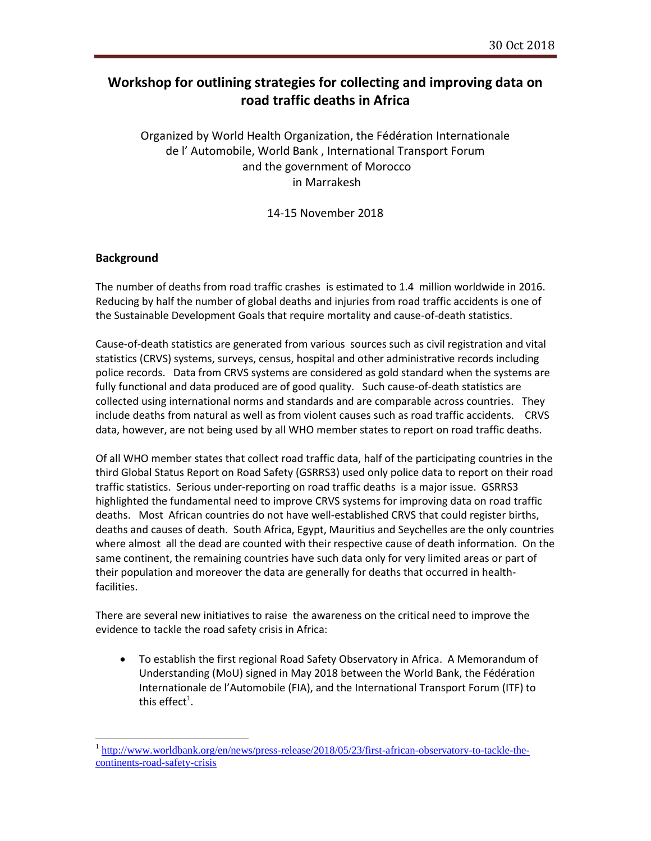## **Workshop for outlining strategies for collecting and improving data on road traffic deaths in Africa**

Organized by World Health Organization, the Fédération Internationale de l' Automobile, World Bank , International Transport Forum and the government of Morocco in Marrakesh

14-15 November 2018

### **Background**

 $\overline{a}$ 

The number of deaths from road traffic crashes is estimated to 1.4 million worldwide in 2016. Reducing by half the number of global deaths and injuries from road traffic accidents is one of the Sustainable Development Goals that require mortality and cause-of-death statistics.

Cause-of-death statistics are generated from various sources such as civil registration and vital statistics (CRVS) systems, surveys, census, hospital and other administrative records including police records. Data from CRVS systems are considered as gold standard when the systems are fully functional and data produced are of good quality. Such cause-of-death statistics are collected using international norms and standards and are comparable across countries. They include deaths from natural as well as from violent causes such as road traffic accidents. CRVS data, however, are not being used by all WHO member states to report on road traffic deaths.

Of all WHO member states that collect road traffic data, half of the participating countries in the third Global Status Report on Road Safety (GSRRS3) used only police data to report on their road traffic statistics. Serious under-reporting on road traffic deaths is a major issue. GSRRS3 highlighted the fundamental need to improve CRVS systems for improving data on road traffic deaths. Most African countries do not have well-established CRVS that could register births, deaths and causes of death. South Africa, Egypt, Mauritius and Seychelles are the only countries where almost all the dead are counted with their respective cause of death information. On the same continent, the remaining countries have such data only for very limited areas or part of their population and moreover the data are generally for deaths that occurred in healthfacilities.

There are several new initiatives to raise the awareness on the critical need to improve the evidence to tackle the road safety crisis in Africa:

 To establish the first regional Road Safety Observatory in Africa. A Memorandum of Understanding (MoU) signed in May 2018 between the World Bank, the Fédération Internationale de l'Automobile (FIA), and the International Transport Forum (ITF) to this effect $^1$ .

<sup>1</sup> [http://www.worldbank.org/en/news/press-release/2018/05/23/first-african-observatory-to-tackle-the](http://www.worldbank.org/en/news/press-release/2018/05/23/first-african-observatory-to-tackle-the-continents-road-safety-crisis)[continents-road-safety-crisis](http://www.worldbank.org/en/news/press-release/2018/05/23/first-african-observatory-to-tackle-the-continents-road-safety-crisis)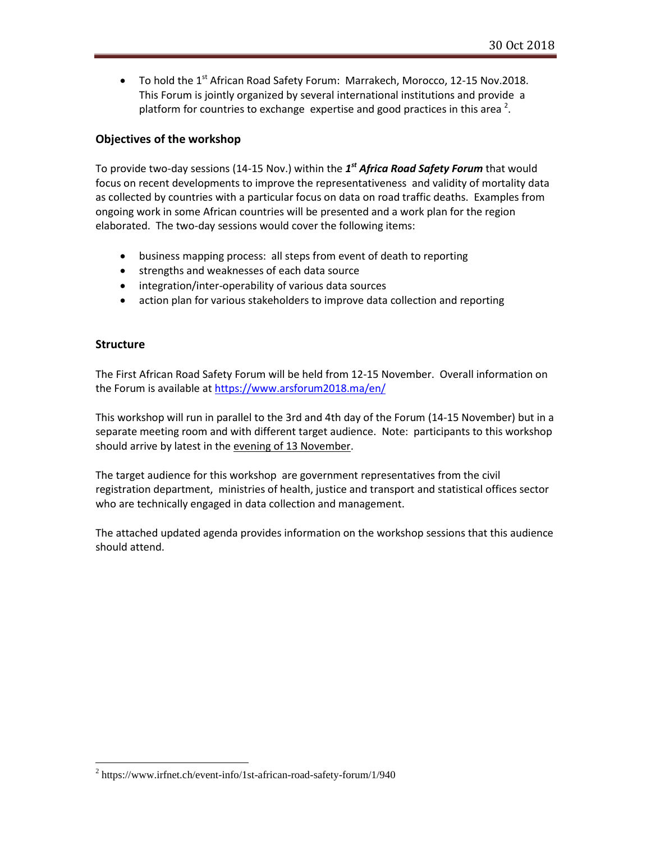• To hold the 1<sup>st</sup> African Road Safety Forum: Marrakech, Morocco, 12-15 Nov.2018. This Forum is jointly organized by several international institutions and provide a platform for countries to exchange expertise and good practices in this area  $^2$ .

### **Objectives of the workshop**

To provide two-day sessions (14-15 Nov.) within the  $1<sup>st</sup>$  *Africa Road Safety Forum* that would focus on recent developments to improve the representativeness and validity of mortality data as collected by countries with a particular focus on data on road traffic deaths. Examples from ongoing work in some African countries will be presented and a work plan for the region elaborated. The two-day sessions would cover the following items:

- business mapping process: all steps from event of death to reporting
- strengths and weaknesses of each data source
- integration/inter-operability of various data sources
- action plan for various stakeholders to improve data collection and reporting

### **Structure**

 $\overline{a}$ 

The First African Road Safety Forum will be held from 12-15 November. Overall information on the Forum is available at<https://www.arsforum2018.ma/en/>

This workshop will run in parallel to the 3rd and 4th day of the Forum (14-15 November) but in a separate meeting room and with different target audience. Note: participants to this workshop should arrive by latest in the evening of 13 November.

The target audience for this workshop are government representatives from the civil registration department, ministries of health, justice and transport and statistical offices sector who are technically engaged in data collection and management.

The attached updated agenda provides information on the workshop sessions that this audience should attend.

 $2$  https://www.irfnet.ch/event-info/1st-african-road-safety-forum/1/940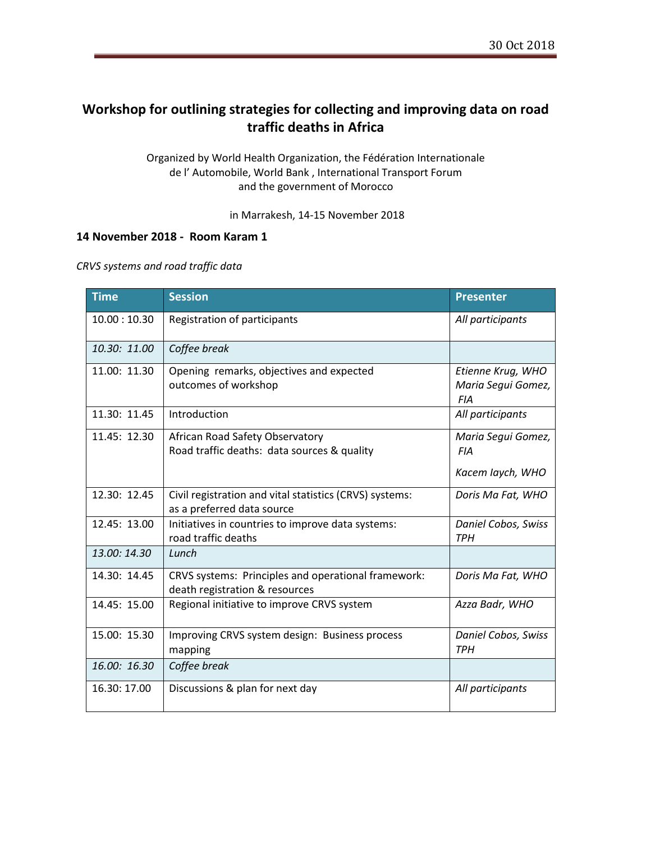# **Workshop for outlining strategies for collecting and improving data on road traffic deaths in Africa**

Organized by World Health Organization, the Fédération Internationale de l' Automobile, World Bank , International Transport Forum and the government of Morocco

in Marrakesh, 14-15 November 2018

### **14 November 2018 - Room Karam 1**

#### *CRVS systems and road traffic data*

| <b>Time</b>  | <b>Session</b>                                                                        | <b>Presenter</b>                                      |
|--------------|---------------------------------------------------------------------------------------|-------------------------------------------------------|
| 10.00:10.30  | Registration of participants                                                          | All participants                                      |
| 10.30: 11.00 | Coffee break                                                                          |                                                       |
| 11.00: 11.30 | Opening remarks, objectives and expected<br>outcomes of workshop                      | Etienne Krug, WHO<br>Maria Segui Gomez,<br><b>FIA</b> |
| 11.30: 11.45 | Introduction                                                                          | All participants                                      |
| 11.45: 12.30 | African Road Safety Observatory<br>Road traffic deaths: data sources & quality        | Maria Segui Gomez,<br><b>FIA</b><br>Kacem laych, WHO  |
| 12.30: 12.45 | Civil registration and vital statistics (CRVS) systems:<br>as a preferred data source | Doris Ma Fat, WHO                                     |
| 12.45: 13.00 | Initiatives in countries to improve data systems:<br>road traffic deaths              | Daniel Cobos, Swiss<br><b>TPH</b>                     |
| 13.00:14.30  | Lunch                                                                                 |                                                       |
| 14.30: 14.45 | CRVS systems: Principles and operational framework:<br>death registration & resources | Doris Ma Fat, WHO                                     |
| 14.45: 15.00 | Regional initiative to improve CRVS system                                            | Azza Badr, WHO                                        |
| 15.00: 15.30 | Improving CRVS system design: Business process<br>mapping                             | <b>Daniel Cobos, Swiss</b><br><b>TPH</b>              |
| 16.00: 16.30 | Coffee break                                                                          |                                                       |
| 16.30: 17.00 | Discussions & plan for next day                                                       | All participants                                      |